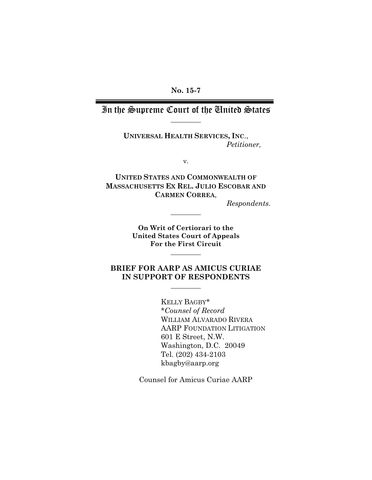In the Supreme Court of the United States \_\_\_\_\_\_\_\_\_

> **UNIVERSAL HEALTH SERVICES, INC**., *Petitioner,*

> > v.

**UNITED STATES AND COMMONWEALTH OF MASSACHUSETTS EX REL. JULIO ESCOBAR AND CARMEN CORREA**,

*Respondents*.

**On Writ of Certiorari to the United States Court of Appeals For the First Circuit** 

**\_\_\_\_\_\_\_\_\_** 

\_\_\_\_\_\_\_\_\_

## **BRIEF FOR AARP AS AMICUS CURIAE IN SUPPORT OF RESPONDENTS**

\_\_\_\_\_\_\_\_\_

KELLY BAGBY\* \**Counsel of Record* WILLIAM ALVARADO RIVERA AARP FOUNDATION LITIGATION 601 E Street, N.W. Washington, D.C. 20049 Tel. (202) 434-2103 kbagby@aarp.org

Counsel for Amicus Curiae AARP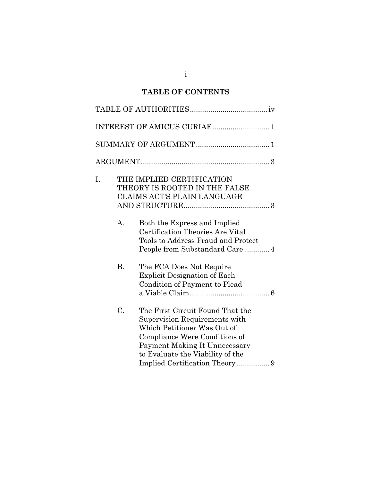## **TABLE OF CONTENTS**

| I. |           | THE IMPLIED CERTIFICATION<br>THEORY IS ROOTED IN THE FALSE<br><b>CLAIMS ACT'S PLAIN LANGUAGE</b>                                                                                                                                         |
|----|-----------|------------------------------------------------------------------------------------------------------------------------------------------------------------------------------------------------------------------------------------------|
|    | A.        | Both the Express and Implied<br>Certification Theories Are Vital<br>Tools to Address Fraud and Protect                                                                                                                                   |
|    | <b>B.</b> | The FCA Does Not Require<br>Explicit Designation of Each<br>Condition of Payment to Plead                                                                                                                                                |
|    | C.        | The First Circuit Found That the<br>Supervision Requirements with<br>Which Petitioner Was Out of<br>Compliance Were Conditions of<br>Payment Making It Unnecessary<br>to Evaluate the Viability of the<br>Implied Certification Theory 9 |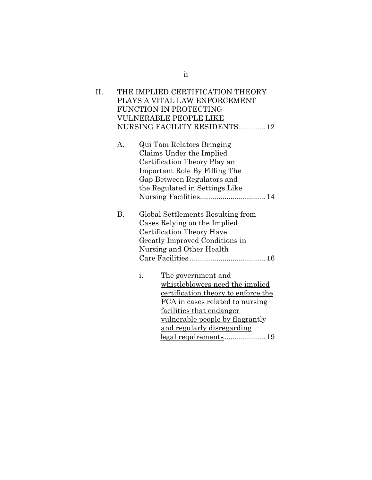| Н. | THE IMPLIED CERTIFICATION THEORY |
|----|----------------------------------|
|    | PLAYS A VITAL LAW ENFORCEMENT    |
|    | FUNCTION IN PROTECTING           |
|    | VULNERABLE PEOPLE LIKE           |
|    | NURSING FACILITY RESIDENTS 12    |
|    |                                  |

- A. Qui Tam Relators Bringing Claims Under the Implied Certification Theory Play an Important Role By Filling The Gap Between Regulators and the Regulated in Settings Like Nursing Facilities ................................ 14
- B. Global Settlements Resulting from Cases Relying on the Implied Certification Theory Have Greatly Improved Conditions in Nursing and Other Health Care Facilities ..................................... 16
	- i. The government and whistleblowers need the implied certification theory to enforce the FCA in cases related to nursing facilities that endanger vulnerable people by flagrantly and regularly disregarding legal requirements .................... 19

ii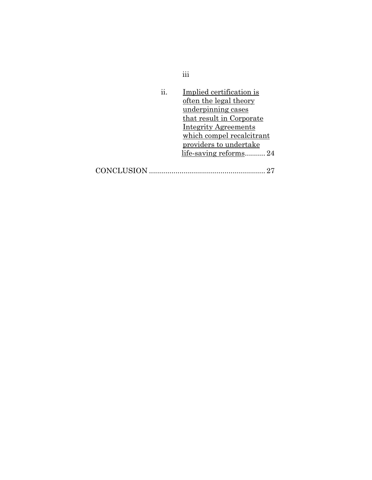| ii.             | Implied certification is    |
|-----------------|-----------------------------|
|                 | often the legal theory      |
|                 | underpinning cases          |
|                 | that result in Corporate    |
|                 | <b>Integrity Agreements</b> |
|                 | which compel recalcitrant   |
|                 | providers to undertake      |
|                 | life-saving reforms24       |
|                 |                             |
| <b>ICLUSION</b> |                             |

iii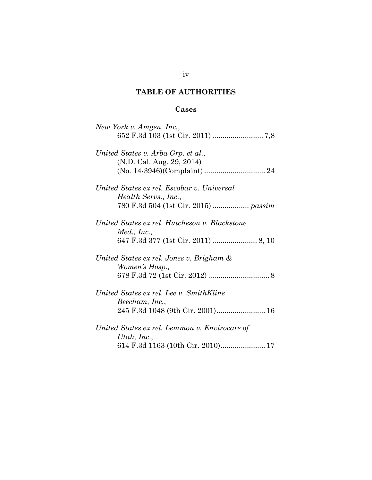## **TABLE OF AUTHORITIES**

## **Cases**

| New York v. Amgen, Inc.,                      |
|-----------------------------------------------|
|                                               |
| United States v. Arba Grp. et al.,            |
| (N.D. Cal. Aug. 29, 2014)                     |
|                                               |
| United States ex rel. Escobar v. Universal    |
| Health Servs., Inc.,                          |
|                                               |
| United States ex rel. Hutcheson v. Blackstone |
| Med., Inc.,                                   |
|                                               |
| United States ex rel. Jones v. Brigham &      |
| Women's Hosp.,                                |
|                                               |
| United States ex rel. Lee v. SmithKline       |
| Beecham, Inc.,                                |
| 245 F.3d 1048 (9th Cir. 2001) 16              |
| United States ex rel. Lemmon v. Envirocare of |
| Utah, Inc.,                                   |
| 614 F.3d 1163 (10th Cir. 2010) 17             |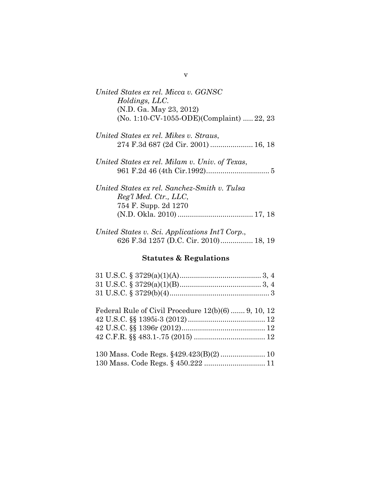| United States ex rel. Micca v. GGNSC      |  |
|-------------------------------------------|--|
| Holdings, LLC.                            |  |
| (N.D. Ga. May 23, 2012)                   |  |
| (No. 1:10-CV-1055-ODE)(Complaint)  22, 23 |  |

| United States ex rel. Mikes v. Straus, |  |
|----------------------------------------|--|
|                                        |  |

| United States ex rel. Milam v. Univ. of Texas, |
|------------------------------------------------|
|                                                |

| United States ex rel. Sanchez-Smith v. Tulsa |  |
|----------------------------------------------|--|
| Reg'l Med. Ctr., LLC,                        |  |
| 754 F. Supp. 2d 1270                         |  |
|                                              |  |
|                                              |  |

| United States v. Sci. Applications Int'l Corp., |  |
|-------------------------------------------------|--|
| 626 F.3d 1257 (D.C. Cir. 2010) 18, 19           |  |

# **Statutes & Regulations**

| Federal Rule of Civil Procedure $12(b)(6)$ 9, 10, 12 |
|------------------------------------------------------|
|                                                      |
|                                                      |
|                                                      |
|                                                      |
|                                                      |
| 130 Mass. Code Regs. § 450.222  11                   |

v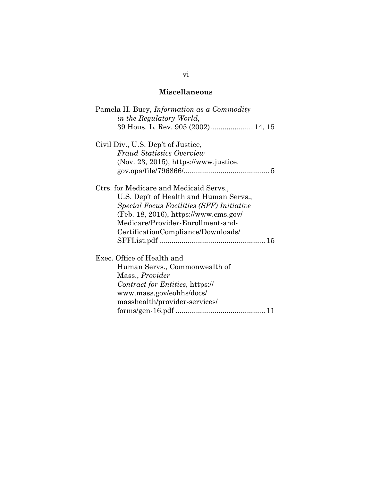## **Miscellaneous**

| Pamela H. Bucy, Information as a Commodity       |
|--------------------------------------------------|
| in the Regulatory World,                         |
| 39 Hous. L. Rev. 905 (2002) 14, 15               |
| Civil Div., U.S. Dep't of Justice,               |
| <b>Fraud Statistics Overview</b>                 |
| $(Nov. 23, 2015)$ , https://www.justice.         |
|                                                  |
| Ctrs. for Medicare and Medicaid Servs.,          |
| U.S. Dep't of Health and Human Servs.,           |
| <i>Special Focus Facilities (SFF) Initiative</i> |
| $(Feb. 18, 2016)$ , https://www.cms.gov/         |
| Medicare/Provider-Enrollment-and-                |
|                                                  |
| CertificationCompliance/Downloads/               |
|                                                  |
| Exec. Office of Health and                       |
| Human Servs., Commonwealth of                    |
| Mass., <i>Provider</i>                           |
| Contract for Entities, https://                  |
| www.mass.gov/eohhs/docs/                         |
| masshealth/provider-services/                    |
|                                                  |
|                                                  |

### vi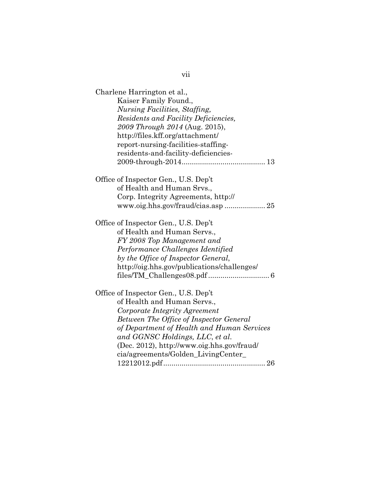| Charlene Harrington et al.,                    |
|------------------------------------------------|
| Kaiser Family Found.,                          |
| <b>Nursing Facilities</b> , Staffing,          |
| Residents and Facility Deficiencies,           |
| 2009 Through 2014 (Aug. 2015),                 |
| http://files.kff.org/attachment/               |
| report-nursing-facilities-staffing-            |
| residents-and-facility-deficiencies-           |
|                                                |
| Office of Inspector Gen., U.S. Dep't           |
| of Health and Human Srvs.,                     |
| Corp. Integrity Agreements, http://            |
|                                                |
| Office of Inspector Gen., U.S. Dep't           |
| of Health and Human Servs.,                    |
| FY 2008 Top Management and                     |
| Performance Challenges Identified              |
| by the Office of Inspector General,            |
| http://oig.hhs.gov/publications/challenges/    |
|                                                |
| Office of Inspector Gen., U.S. Dep't           |
| of Health and Human Servs.,                    |
| Corporate Integrity Agreement                  |
| <b>Between The Office of Inspector General</b> |
| of Department of Health and Human Services     |
| and GGNSC Holdings, LLC, et al.                |
| (Dec. 2012), http://www.oig.hhs.gov/fraud/     |
| cia/agreements/Golden_LivingCenter_            |
|                                                |

vii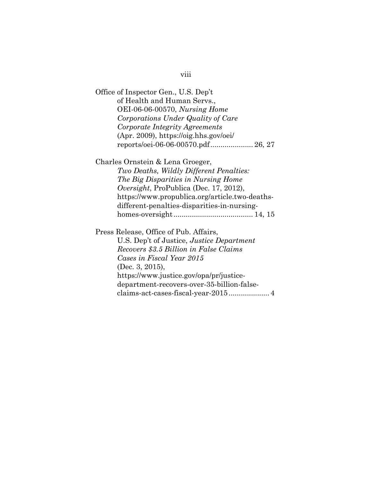| Office of Inspector Gen., U.S. Dep't             |
|--------------------------------------------------|
| of Health and Human Servs.,                      |
| <b>OEI-06-06-00570</b> , <i>Nursing Home</i>     |
| Corporations Under Quality of Care               |
| Corporate Integrity Agreements                   |
| (Apr. 2009), https://oig.hhs.gov/oei/            |
| reports/oei-06-06-00570.pdf 26, 27               |
| Charles Ornstein & Lena Groeger,                 |
| Two Deaths, Wildly Different Penalties:          |
| The Big Disparities in Nursing Home              |
| <i>Oversight</i> , ProPublica (Dec. 17, 2012),   |
| https://www.propublica.org/article.two-deaths-   |
| different-penalties-disparities-in-nursing-      |
|                                                  |
| Press Release, Office of Pub. Affairs,           |
| U.S. Dep't of Justice, <i>Justice Department</i> |
| Recovers \$3.5 Billion in False Claims           |
| Cases in Fiscal Year 2015                        |
| (Dec. 3, 2015),                                  |
| https://www.justice.gov/opa/pr/justice-          |
| department-recovers-over-35-billion-false-       |
| claims-act-cases-fiscal-year-2015 4              |

# viii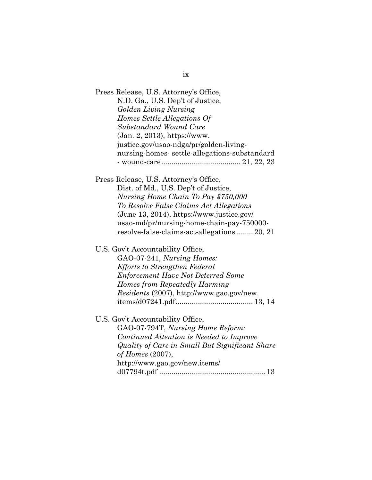ix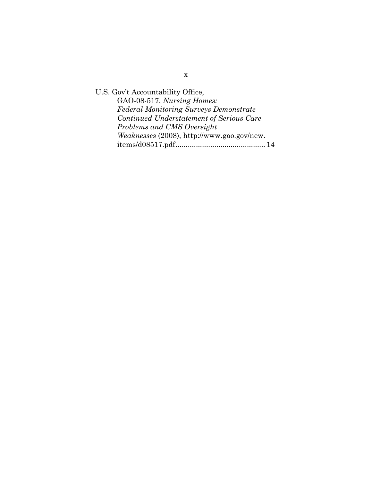U.S. Gov't Accountability Office, GAO-08-517, *Nursing Homes: Federal Monitoring Surveys Demonstrate Continued Understatement of Serious Care Problems and CMS Oversight Weaknesses* (2008), http://www.gao.gov/new. items/d08517.pdf ............................................ 14

x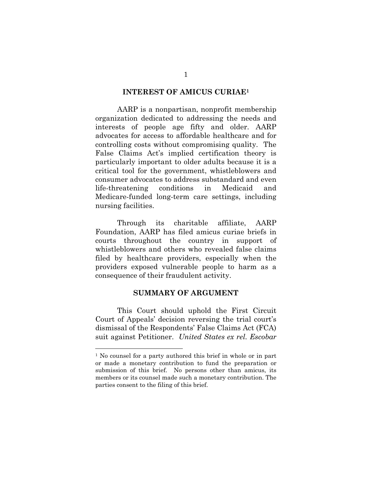#### **INTEREST OF AMICUS CURIAE1**

 AARP is a nonpartisan, nonprofit membership organization dedicated to addressing the needs and interests of people age fifty and older. AARP advocates for access to affordable healthcare and for controlling costs without compromising quality. The False Claims Act's implied certification theory is particularly important to older adults because it is a critical tool for the government, whistleblowers and consumer advocates to address substandard and even life-threatening conditions in Medicaid and Medicare-funded long-term care settings, including nursing facilities.

 Through its charitable affiliate, AARP Foundation, AARP has filed amicus curiae briefs in courts throughout the country in support of whistleblowers and others who revealed false claims filed by healthcare providers, especially when the providers exposed vulnerable people to harm as a consequence of their fraudulent activity.

#### **SUMMARY OF ARGUMENT**

 This Court should uphold the First Circuit Court of Appeals' decision reversing the trial court's dismissal of the Respondents' False Claims Act (FCA) suit against Petitioner. *United States ex rel. Escobar*

<sup>&</sup>lt;sup>1</sup> No counsel for a party authored this brief in whole or in part or made a monetary contribution to fund the preparation or submission of this brief. No persons other than amicus, its members or its counsel made such a monetary contribution. The parties consent to the filing of this brief.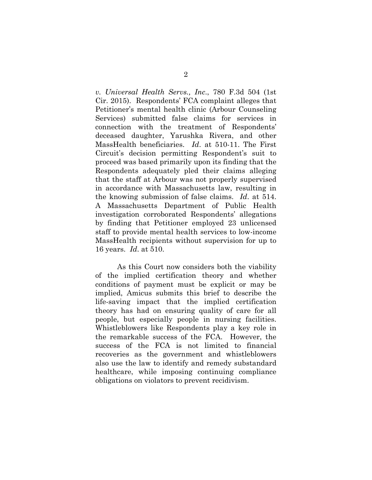*v. Universal Health Servs., Inc*., 780 F.3d 504 (1st Cir. 2015). Respondents' FCA complaint alleges that Petitioner's mental health clinic (Arbour Counseling Services) submitted false claims for services in connection with the treatment of Respondents' deceased daughter, Yarushka Rivera, and other MassHealth beneficiaries. *Id*. at 510-11. The First Circuit's decision permitting Respondent's suit to proceed was based primarily upon its finding that the Respondents adequately pled their claims alleging that the staff at Arbour was not properly supervised in accordance with Massachusetts law, resulting in the knowing submission of false claims. *Id*. at 514. A Massachusetts Department of Public Health investigation corroborated Respondents' allegations by finding that Petitioner employed 23 unlicensed staff to provide mental health services to low-income MassHealth recipients without supervision for up to 16 years. *Id*. at 510.

 As this Court now considers both the viability of the implied certification theory and whether conditions of payment must be explicit or may be implied, Amicus submits this brief to describe the life-saving impact that the implied certification theory has had on ensuring quality of care for all people, but especially people in nursing facilities. Whistleblowers like Respondents play a key role in the remarkable success of the FCA. However, the success of the FCA is not limited to financial recoveries as the government and whistleblowers also use the law to identify and remedy substandard healthcare, while imposing continuing compliance obligations on violators to prevent recidivism.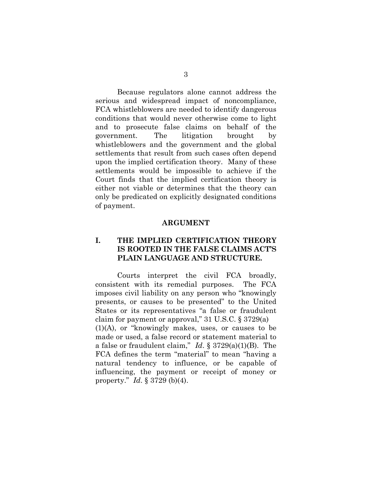Because regulators alone cannot address the serious and widespread impact of noncompliance, FCA whistleblowers are needed to identify dangerous conditions that would never otherwise come to light and to prosecute false claims on behalf of the government. The litigation brought by whistleblowers and the government and the global settlements that result from such cases often depend upon the implied certification theory. Many of these settlements would be impossible to achieve if the Court finds that the implied certification theory is either not viable or determines that the theory can only be predicated on explicitly designated conditions of payment.

#### **ARGUMENT**

### **I. THE IMPLIED CERTIFICATION THEORY IS ROOTED IN THE FALSE CLAIMS ACT'S PLAIN LANGUAGE AND STRUCTURE.**

 Courts interpret the civil FCA broadly, consistent with its remedial purposes. The FCA imposes civil liability on any person who "knowingly presents, or causes to be presented" to the United States or its representatives "a false or fraudulent claim for payment or approval," 31 U.S.C. § 3729(a) (1)(A), or "knowingly makes, uses, or causes to be made or used, a false record or statement material to a false or fraudulent claim," *Id*. § 3729(a)(1)(B). The FCA defines the term "material" to mean "having a natural tendency to influence, or be capable of influencing, the payment or receipt of money or property." *Id*. § 3729 (b)(4).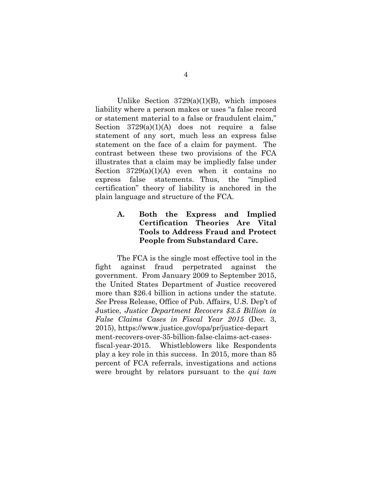Unlike Section  $3729(a)(1)(B)$ , which imposes liability where a person makes or uses "a false record or statement material to a false or fraudulent claim," Section 3729(a)(1)(A) does not require a false statement of any sort, much less an express false statement on the face of a claim for payment. The contrast between these two provisions of the FCA illustrates that a claim may be impliedly false under Section  $3729(a)(1)(A)$  even when it contains no express false statements. Thus, the "implied certification" theory of liability is anchored in the plain language and structure of the FCA.

## **A. Both the Express and Implied Certification Theories Are Vital Tools to Address Fraud and Protect People from Substandard Care.**

 The FCA is the single most effective tool in the fight against fraud perpetrated against the government. From January 2009 to September 2015, the United States Department of Justice recovered more than \$26.4 billion in actions under the statute. *See* Press Release, Office of Pub. Affairs, U.S. Dep't of Justice, *Justice Department Recovers \$3.5 Billion in False Claims Cases in Fiscal Year 2015* (Dec. 3, 2015), https://www.justice.gov/opa/pr/justice-depart ment-recovers-over-35-billion-false-claims-act-casesfiscal-year-2015. Whistleblowers like Respondents play a key role in this success. In 2015, more than 85 percent of FCA referrals, investigations and actions were brought by relators pursuant to the *qui tam*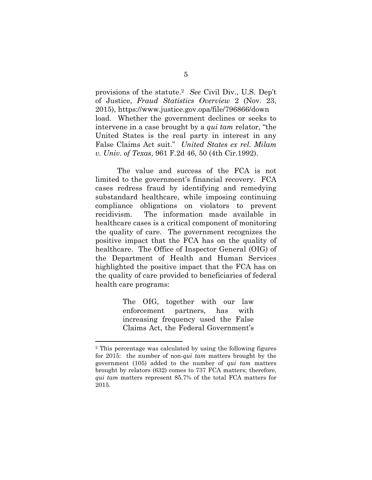provisions of the statute.2 *See* Civil Div., U.S. Dep't of Justice, *Fraud Statistics Overview* 2 (Nov. 23, 2015), https://www.justice.gov.opa/file/796866/down load. Whether the government declines or seeks to intervene in a case brought by a *qui tam* relator, "the United States is the real party in interest in any False Claims Act suit." *United States ex rel. Milam v. Univ. of Texas*, 961 F.2d 46, 50 (4th Cir.1992).

 The value and success of the FCA is not limited to the government's financial recovery. FCA cases redress fraud by identifying and remedying substandard healthcare, while imposing continuing compliance obligations on violators to prevent recidivism. The information made available in healthcare cases is a critical component of monitoring the quality of care. The government recognizes the positive impact that the FCA has on the quality of healthcare. The Office of Inspector General (OIG) of the Department of Health and Human Services highlighted the positive impact that the FCA has on the quality of care provided to beneficiaries of federal health care programs:

> The OIG, together with our law enforcement partners, has with increasing frequency used the False Claims Act, the Federal Government's

<sup>2</sup> This percentage was calculated by using the following figures for 2015: the number of non-*qui tam* matters brought by the government (105) added to the number of *qui tam* matters brought by relators (632) comes to 737 FCA matters; therefore, *qui tam* matters represent 85.7% of the total FCA matters for 2015.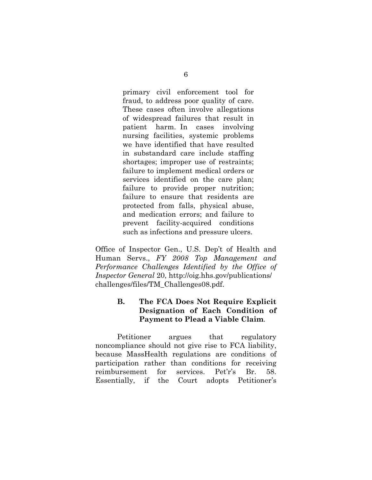primary civil enforcement tool for fraud, to address poor quality of care. These cases often involve allegations of widespread failures that result in patient harm. In cases involving nursing facilities, systemic problems we have identified that have resulted in substandard care include staffing shortages; improper use of restraints; failure to implement medical orders or services identified on the care plan; failure to provide proper nutrition; failure to ensure that residents are protected from falls, physical abuse, and medication errors; and failure to prevent facility-acquired conditions such as infections and pressure ulcers.

Office of Inspector Gen., U.S. Dep't of Health and Human Servs., *FY 2008 Top Management and Performance Challenges Identified by the Office of Inspector General* 20, http://oig.hhs.gov/publications/ challenges/files/TM\_Challenges08.pdf.

## **B. The FCA Does Not Require Explicit Designation of Each Condition of Payment to Plead a Viable Claim**.

 Petitioner argues that regulatory noncompliance should not give rise to FCA liability, because MassHealth regulations are conditions of participation rather than conditions for receiving reimbursement for services. Pet'r's Br. 58. Essentially, if the Court adopts Petitioner's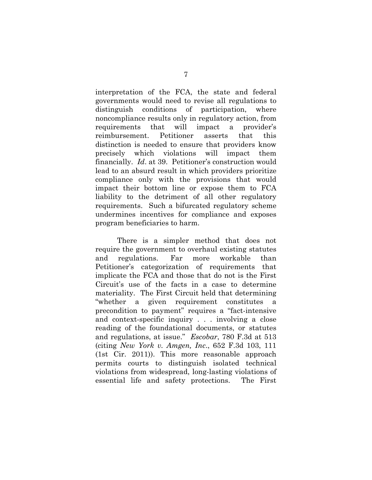interpretation of the FCA, the state and federal governments would need to revise all regulations to distinguish conditions of participation, where noncompliance results only in regulatory action, from requirements that will impact a provider's reimbursement. Petitioner asserts that this distinction is needed to ensure that providers know precisely which violations will impact them financially. *Id*. at 39. Petitioner's construction would lead to an absurd result in which providers prioritize compliance only with the provisions that would impact their bottom line or expose them to FCA liability to the detriment of all other regulatory requirements. Such a bifurcated regulatory scheme undermines incentives for compliance and exposes program beneficiaries to harm.

 There is a simpler method that does not require the government to overhaul existing statutes and regulations. Far more workable than Petitioner's categorization of requirements that implicate the FCA and those that do not is the First Circuit's use of the facts in a case to determine materiality. The First Circuit held that determining "whether a given requirement constitutes precondition to payment" requires a "fact-intensive and context-specific inquiry . . . involving a close reading of the foundational documents, or statutes and regulations, at issue." *Escobar*, 780 F.3d at 513 (citing *New York v. Amgen, Inc*., 652 F.3d 103, 111 (1st Cir. 2011)). This more reasonable approach permits courts to distinguish isolated technical violations from widespread, long-lasting violations of essential life and safety protections. The First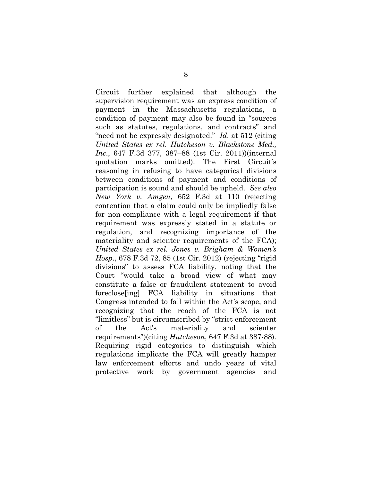Circuit further explained that although the supervision requirement was an express condition of payment in the Massachusetts regulations, a condition of payment may also be found in "sources such as statutes, regulations, and contracts" and "need not be expressly designated." *Id*. at 512 (citing *United States ex rel. Hutcheson v. Blackstone Med., Inc*., 647 F.3d 377, 387–88 (1st Cir. 2011))(internal quotation marks omitted). The First Circuit's reasoning in refusing to have categorical divisions between conditions of payment and conditions of participation is sound and should be upheld. *See also New York v. Amgen*, 652 F.3d at 110 (rejecting contention that a claim could only be impliedly false for non-compliance with a legal requirement if that requirement was expressly stated in a statute or regulation, and recognizing importance of the materiality and scienter requirements of the FCA); *United States ex rel. Jones v. Brigham & Women's Hosp*., 678 F.3d 72, 85 (1st Cir. 2012) (rejecting "rigid divisions" to assess FCA liability, noting that the Court "would take a broad view of what may constitute a false or fraudulent statement to avoid foreclose[ing] FCA liability in situations that Congress intended to fall within the Act's scope, and recognizing that the reach of the FCA is not "limitless" but is circumscribed by "strict enforcement of the Act's materiality and scienter requirements")(citing *Hutcheson*, 647 F.3d at 387-88). Requiring rigid categories to distinguish which regulations implicate the FCA will greatly hamper law enforcement efforts and undo years of vital protective work by government agencies and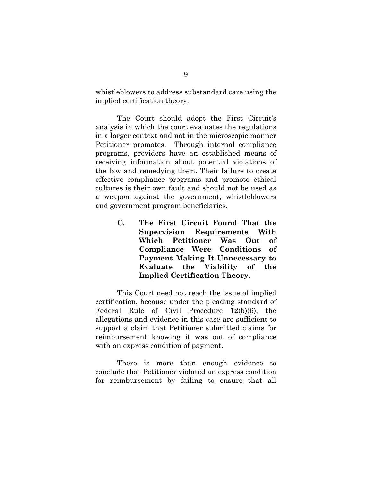whistleblowers to address substandard care using the implied certification theory.

The Court should adopt the First Circuit's analysis in which the court evaluates the regulations in a larger context and not in the microscopic manner Petitioner promotes. Through internal compliance programs, providers have an established means of receiving information about potential violations of the law and remedying them. Their failure to create effective compliance programs and promote ethical cultures is their own fault and should not be used as a weapon against the government, whistleblowers and government program beneficiaries.

> **C. The First Circuit Found That the Supervision Requirements With Which Petitioner Was Out of Compliance Were Conditions of Payment Making It Unnecessary to Evaluate the Viability of the Implied Certification Theory**.

 This Court need not reach the issue of implied certification, because under the pleading standard of Federal Rule of Civil Procedure 12(b)(6), the allegations and evidence in this case are sufficient to support a claim that Petitioner submitted claims for reimbursement knowing it was out of compliance with an express condition of payment.

 There is more than enough evidence to conclude that Petitioner violated an express condition for reimbursement by failing to ensure that all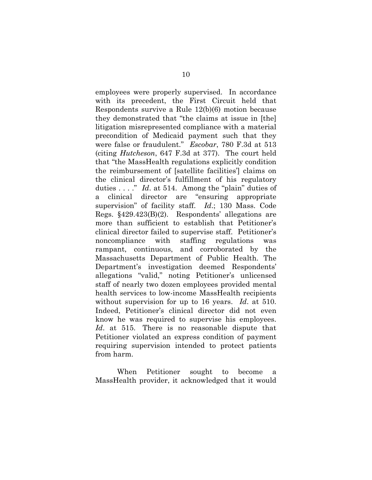employees were properly supervised. In accordance with its precedent, the First Circuit held that Respondents survive a Rule 12(b)(6) motion because they demonstrated that "the claims at issue in [the] litigation misrepresented compliance with a material precondition of Medicaid payment such that they were false or fraudulent." *Escobar*, 780 F.3d at 513 (citing *Hutcheson*, 647 F.3d at 377). The court held that "the MassHealth regulations explicitly condition the reimbursement of [satellite facilities'] claims on the clinical director's fulfillment of his regulatory duties . . . ." *Id*. at 514. Among the "plain" duties of a clinical director are "ensuring appropriate supervision" of facility staff. *Id*.; 130 Mass. Code Regs. §429.423(B)(2). Respondents' allegations are more than sufficient to establish that Petitioner's clinical director failed to supervise staff. Petitioner's noncompliance with staffing regulations was rampant, continuous, and corroborated by the Massachusetts Department of Public Health. The Department's investigation deemed Respondents' allegations "valid," noting Petitioner's unlicensed staff of nearly two dozen employees provided mental health services to low-income MassHealth recipients without supervision for up to 16 years. *Id*. at 510. Indeed, Petitioner's clinical director did not even know he was required to supervise his employees. *Id*. at 515. There is no reasonable dispute that Petitioner violated an express condition of payment requiring supervision intended to protect patients from harm.

 When Petitioner sought to become a MassHealth provider, it acknowledged that it would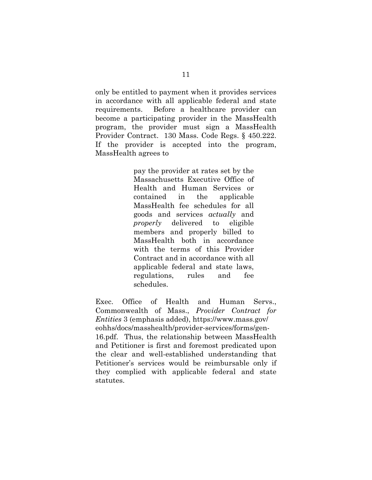only be entitled to payment when it provides services in accordance with all applicable federal and state requirements. Before a healthcare provider can become a participating provider in the MassHealth program, the provider must sign a MassHealth Provider Contract. 130 Mass. Code Regs. § 450.222. If the provider is accepted into the program, MassHealth agrees to

> pay the provider at rates set by the Massachusetts Executive Office of Health and Human Services or contained in the applicable MassHealth fee schedules for all goods and services *actually* and *properly* delivered to eligible members and properly billed to MassHealth both in accordance with the terms of this Provider Contract and in accordance with all applicable federal and state laws, regulations, rules and fee schedules.

Exec. Office of Health and Human Servs., Commonwealth of Mass., *Provider Contract for Entities* 3 (emphasis added), https://www.mass.gov/ eohhs/docs/masshealth/provider-services/forms/gen-16.pdf. Thus, the relationship between MassHealth and Petitioner is first and foremost predicated upon the clear and well-established understanding that Petitioner's services would be reimbursable only if they complied with applicable federal and state statutes.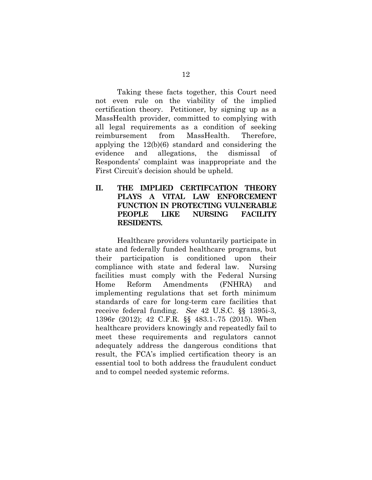Taking these facts together, this Court need not even rule on the viability of the implied certification theory. Petitioner, by signing up as a MassHealth provider, committed to complying with all legal requirements as a condition of seeking reimbursement from MassHealth. Therefore, applying the 12(b)(6) standard and considering the evidence and allegations, the dismissal of Respondents' complaint was inappropriate and the First Circuit's decision should be upheld.

## **II. THE IMPLIED CERTIFCATION THEORY PLAYS A VITAL LAW ENFORCEMENT FUNCTION IN PROTECTING VULNERABLE PEOPLE LIKE NURSING FACILITY RESIDENTS.**

Healthcare providers voluntarily participate in state and federally funded healthcare programs, but their participation is conditioned upon their compliance with state and federal law. Nursing facilities must comply with the Federal Nursing Home Reform Amendments (FNHRA) and implementing regulations that set forth minimum standards of care for long-term care facilities that receive federal funding. *See* 42 U.S.C. §§ 1395i-3, 1396r (2012); 42 C.F.R. §§ 483.1-.75 (2015). When healthcare providers knowingly and repeatedly fail to meet these requirements and regulators cannot adequately address the dangerous conditions that result, the FCA's implied certification theory is an essential tool to both address the fraudulent conduct and to compel needed systemic reforms.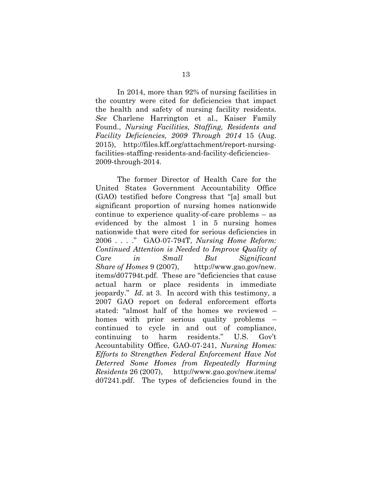In 2014, more than 92% of nursing facilities in the country were cited for deficiencies that impact the health and safety of nursing facility residents. *See* Charlene Harrington et al., Kaiser Family Found., *Nursing Facilities, Staffing, Residents and Facility Deficiencies, 2009 Through 2014* 15 (Aug. 2015), http://files.kff.org/attachment/report-nursingfacilities-staffing-residents-and-facility-deficiencies-2009-through-2014.

The former Director of Health Care for the United States Government Accountability Office (GAO) testified before Congress that "[a] small but significant proportion of nursing homes nationwide continue to experience quality-of-care problems – as evidenced by the almost 1 in 5 nursing homes nationwide that were cited for serious deficiencies in 2006 . . . ." GAO-07-794T, *Nursing Home Reform: Continued Attention is Needed to Improve Quality of Care in Small But Significant Share of Homes* 9 (2007), http://www.gao.gov/new. items/d07794t.pdf. These are "deficiencies that cause actual harm or place residents in immediate jeopardy." *Id*. at 3. In accord with this testimony, a 2007 GAO report on federal enforcement efforts stated: "almost half of the homes we reviewed – homes with prior serious quality problems – continued to cycle in and out of compliance, continuing to harm residents." U.S. Gov't Accountability Office, GAO-07-241, *Nursing Homes: Efforts to Strengthen Federal Enforcement Have Not Deterred Some Homes from Repeatedly Harming Residents* 26 (2007), http://www.gao.gov/new.items/ d07241.pdf. The types of deficiencies found in the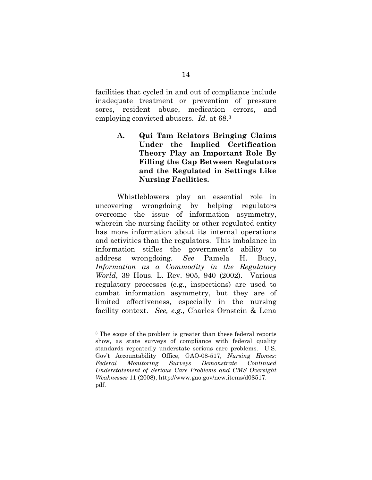facilities that cycled in and out of compliance include inadequate treatment or prevention of pressure sores, resident abuse, medication errors, and employing convicted abusers. *Id*. at 68.3

> **A. Qui Tam Relators Bringing Claims Under the Implied Certification Theory Play an Important Role By Filling the Gap Between Regulators and the Regulated in Settings Like Nursing Facilities.**

Whistleblowers play an essential role in uncovering wrongdoing by helping regulators overcome the issue of information asymmetry, wherein the nursing facility or other regulated entity has more information about its internal operations and activities than the regulators. This imbalance in information stifles the government's ability to address wrongdoing. *See* Pamela H. Bucy, *Information as a Commodity in the Regulatory World*, 39 Hous. L. Rev. 905, 940 (2002). Various regulatory processes (e.g., inspections) are used to combat information asymmetry, but they are of limited effectiveness, especially in the nursing facility context. *See, e.g*., Charles Ornstein & Lena

<sup>&</sup>lt;sup>3</sup> The scope of the problem is greater than these federal reports show, as state surveys of compliance with federal quality standards repeatedly understate serious care problems. U.S. Gov't Accountability Office, GAO-08-517, *Nursing Homes: Federal Monitoring Surveys Demonstrate Continued Understatement of Serious Care Problems and CMS Oversight Weaknesses* 11 (2008), http://www.gao.gov/new.items/d08517. pdf.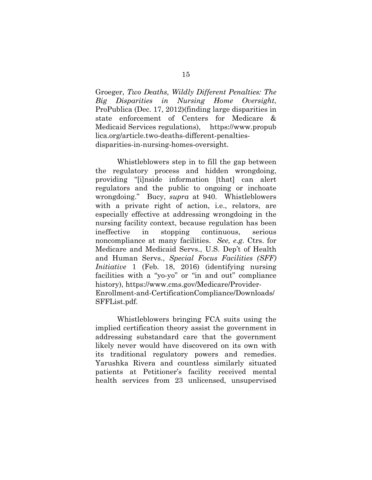Groeger, *Two Deaths, Wildly Different Penalties: The Big Disparities in Nursing Home Oversight*, ProPublica (Dec. 17, 2012)(finding large disparities in state enforcement of Centers for Medicare & Medicaid Services regulations), https://www.propub lica.org/article.two-deaths-different-penaltiesdisparities-in-nursing-homes-oversight.

Whistleblowers step in to fill the gap between the regulatory process and hidden wrongdoing, providing "[i]nside information [that] can alert regulators and the public to ongoing or inchoate wrongdoing." Bucy, *supra* at 940. Whistleblowers with a private right of action, i.e., relators, are especially effective at addressing wrongdoing in the nursing facility context, because regulation has been ineffective in stopping continuous, serious noncompliance at many facilities. *See, e.g*. Ctrs. for Medicare and Medicaid Servs., U.S. Dep't of Health and Human Servs., *Special Focus Facilities (SFF) Initiative* 1 (Feb. 18, 2016) (identifying nursing facilities with a "yo-yo" or "in and out" compliance history), https://www.cms.gov/Medicare/Provider-Enrollment-and-CertificationCompliance/Downloads/ SFFList.pdf.

Whistleblowers bringing FCA suits using the implied certification theory assist the government in addressing substandard care that the government likely never would have discovered on its own with its traditional regulatory powers and remedies. Yarushka Rivera and countless similarly situated patients at Petitioner's facility received mental health services from 23 unlicensed, unsupervised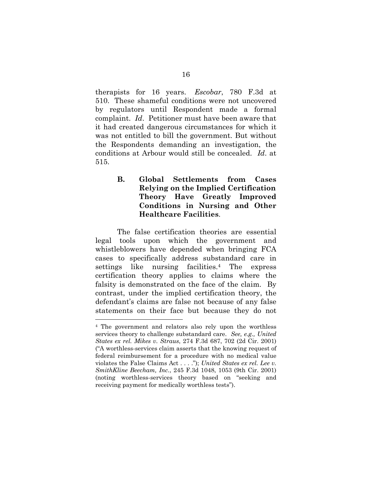therapists for 16 years. *Escobar*, 780 F.3d at 510. These shameful conditions were not uncovered by regulators until Respondent made a formal complaint. *Id*. Petitioner must have been aware that it had created dangerous circumstances for which it was not entitled to bill the government. But without the Respondents demanding an investigation, the conditions at Arbour would still be concealed. *Id*. at 515.

> **B. Global Settlements from Cases Relying on the Implied Certification Theory Have Greatly Improved Conditions in Nursing and Other Healthcare Facilities**.

 The false certification theories are essential legal tools upon which the government and whistleblowers have depended when bringing FCA cases to specifically address substandard care in settings like nursing facilities.4 The express certification theory applies to claims where the falsity is demonstrated on the face of the claim. By contrast, under the implied certification theory, the defendant's claims are false not because of any false statements on their face but because they do not

<sup>4</sup> The government and relators also rely upon the worthless services theory to challenge substandard care. *See, e.g., United States ex rel. Mikes v. Straus*, 274 F.3d 687, 702 (2d Cir. 2001) ("A worthless-services claim asserts that the knowing request of federal reimbursement for a procedure with no medical value violates the False Claims Act . . . ."); *United States ex rel. Lee v. SmithKline Beecham, Inc.*, 245 F.3d 1048, 1053 (9th Cir. 2001) (noting worthless-services theory based on "seeking and receiving payment for medically worthless tests").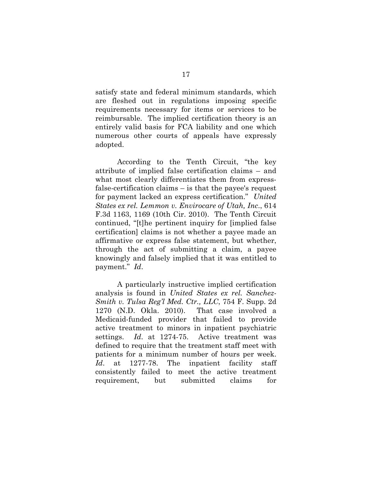satisfy state and federal minimum standards, which are fleshed out in regulations imposing specific requirements necessary for items or services to be reimbursable. The implied certification theory is an entirely valid basis for FCA liability and one which numerous other courts of appeals have expressly adopted.

 According to the Tenth Circuit, "the key attribute of implied false certification claims – and what most clearly differentiates them from expressfalse-certification claims – is that the payee's request for payment lacked an express certification." *United States ex rel. Lemmon v. Envirocare of Utah, Inc*., 614 F.3d 1163, 1169 (10th Cir. 2010). The Tenth Circuit continued, "[t]he pertinent inquiry for [implied false certification] claims is not whether a payee made an affirmative or express false statement, but whether, through the act of submitting a claim, a payee knowingly and falsely implied that it was entitled to payment." *Id*.

 A particularly instructive implied certification analysis is found in *United States ex rel. Sanchez-Smith v. Tulsa Reg'l Med. Ctr., LLC*, 754 F. Supp. 2d 1270 (N.D. Okla. 2010). That case involved a Medicaid-funded provider that failed to provide active treatment to minors in inpatient psychiatric settings. *Id*. at 1274-75. Active treatment was defined to require that the treatment staff meet with patients for a minimum number of hours per week. *Id*. at 1277-78. The inpatient facility staff consistently failed to meet the active treatment requirement, but submitted claims for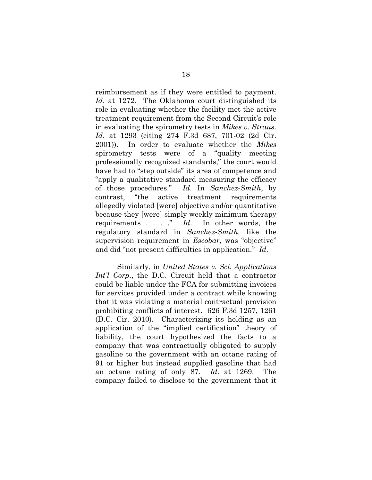reimbursement as if they were entitled to payment. *Id*. at 1272. The Oklahoma court distinguished its role in evaluating whether the facility met the active treatment requirement from the Second Circuit's role in evaluating the spirometry tests in *Mikes v*. *Straus*. *Id*. at 1293 (citing 274 F.3d 687, 701-02 (2d Cir. 2001)). In order to evaluate whether the *Mikes* spirometry tests were of a "quality meeting professionally recognized standards," the court would have had to "step outside" its area of competence and "apply a qualitative standard measuring the efficacy of those procedures." *Id*. In *Sanchez-Smith*, by contrast, "the active treatment requirements allegedly violated [were] objective and/or quantitative because they [were] simply weekly minimum therapy requirements . . . ." *Id*. In other words, the regulatory standard in *Sanchez-Smith,* like the supervision requirement in *Escobar*, was "objective" and did "not present difficulties in application." *Id*.

 Similarly, in *United States v. Sci. Applications Int'l Corp.*, the D.C. Circuit held that a contractor could be liable under the FCA for submitting invoices for services provided under a contract while knowing that it was violating a material contractual provision prohibiting conflicts of interest. 626 F.3d 1257, 1261 (D.C. Cir. 2010). Characterizing its holding as an application of the "implied certification" theory of liability, the court hypothesized the facts to a company that was contractually obligated to supply gasoline to the government with an octane rating of 91 or higher but instead supplied gasoline that had an octane rating of only 87. *Id*. at 1269. The company failed to disclose to the government that it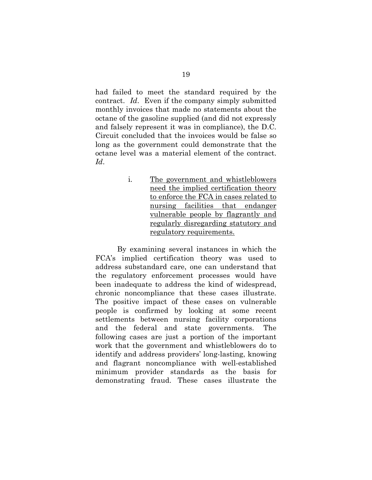had failed to meet the standard required by the contract. *Id*. Even if the company simply submitted monthly invoices that made no statements about the octane of the gasoline supplied (and did not expressly and falsely represent it was in compliance), the D.C. Circuit concluded that the invoices would be false so long as the government could demonstrate that the octane level was a material element of the contract. *Id*.

> i. The government and whistleblowers need the implied certification theory to enforce the FCA in cases related to nursing facilities that endanger vulnerable people by flagrantly and regularly disregarding statutory and regulatory requirements.

 By examining several instances in which the FCA's implied certification theory was used to address substandard care, one can understand that the regulatory enforcement processes would have been inadequate to address the kind of widespread, chronic noncompliance that these cases illustrate. The positive impact of these cases on vulnerable people is confirmed by looking at some recent settlements between nursing facility corporations and the federal and state governments. The following cases are just a portion of the important work that the government and whistleblowers do to identify and address providers' long-lasting, knowing and flagrant noncompliance with well-established minimum provider standards as the basis for demonstrating fraud. These cases illustrate the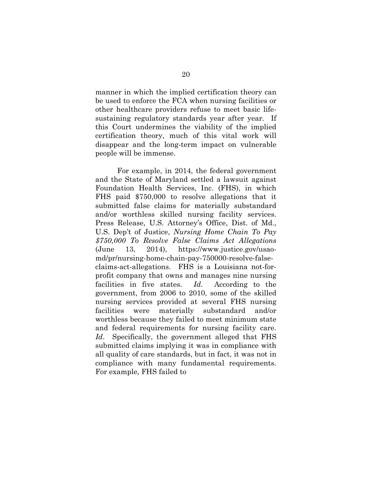manner in which the implied certification theory can be used to enforce the FCA when nursing facilities or other healthcare providers refuse to meet basic lifesustaining regulatory standards year after year. If this Court undermines the viability of the implied certification theory, much of this vital work will disappear and the long-term impact on vulnerable people will be immense.

 For example, in 2014, the federal government and the State of Maryland settled a lawsuit against Foundation Health Services, Inc. (FHS), in which FHS paid \$750,000 to resolve allegations that it submitted false claims for materially substandard and/or worthless skilled nursing facility services. Press Release, U.S. Attorney's Office, Dist. of Md., U.S. Dep't of Justice, *Nursing Home Chain To Pay \$750,000 To Resolve False Claims Act Allegations* (June 13, 2014), https://www.justice.gov/usaomd/pr/nursing-home-chain-pay-750000-resolve-falseclaims-act-allegations. FHS is a Louisiana not-forprofit company that owns and manages nine nursing facilities in five states. *Id*. According to the government, from 2006 to 2010, some of the skilled nursing services provided at several FHS nursing facilities were materially substandard and/or worthless because they failed to meet minimum state and federal requirements for nursing facility care. *Id*. Specifically, the government alleged that FHS submitted claims implying it was in compliance with all quality of care standards, but in fact, it was not in compliance with many fundamental requirements. For example, FHS failed to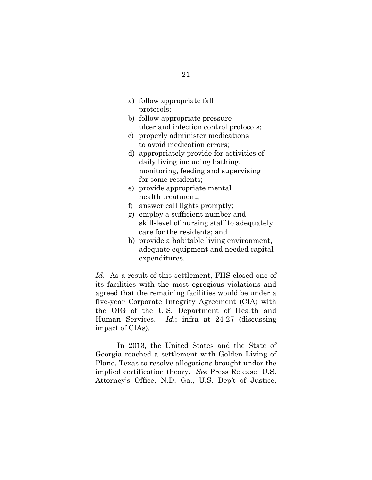- a) follow appropriate fall protocols;
- b) follow appropriate pressure ulcer and infection control protocols;
- c) properly administer medications to avoid medication errors;
- d) appropriately provide for activities of daily living including bathing, monitoring, feeding and supervising for some residents;
- e) provide appropriate mental health treatment;
- f) answer call lights promptly;
- g) employ a sufficient number and skill-level of nursing staff to adequately care for the residents; and
- h) provide a habitable living environment, adequate equipment and needed capital expenditures.

*Id*. As a result of this settlement, FHS closed one of its facilities with the most egregious violations and agreed that the remaining facilities would be under a five-year Corporate Integrity Agreement (CIA) with the OIG of the U.S. Department of Health and Human Services. *Id*.; infra at 24-27 (discussing impact of CIAs).

 In 2013, the United States and the State of Georgia reached a settlement with Golden Living of Plano, Texas to resolve allegations brought under the implied certification theory. *See* Press Release, U.S. Attorney's Office, N.D. Ga., U.S. Dep't of Justice,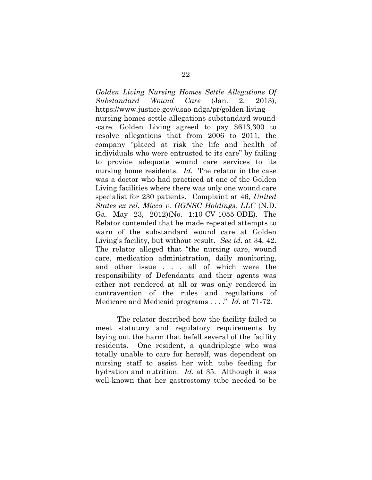*Golden Living Nursing Homes Settle Allegations Of Substandard Wound Care* (Jan. 2, 2013), https://www.justice.gov/usao-ndga/pr/golden-livingnursing-homes-settle-allegations-substandard-wound -care. Golden Living agreed to pay \$613,300 to resolve allegations that from 2006 to 2011, the company "placed at risk the life and health of individuals who were entrusted to its care" by failing to provide adequate wound care services to its nursing home residents. *Id*. The relator in the case was a doctor who had practiced at one of the Golden Living facilities where there was only one wound care specialist for 230 patients. Complaint at 46, *United States ex rel. Micca v. GGNSC Holdings, LLC* (N.D. Ga. May 23, 2012)(No. 1:10-CV-1055-ODE). The Relator contended that he made repeated attempts to warn of the substandard wound care at Golden Living's facility, but without result. *See id*. at 34, 42. The relator alleged that "the nursing care, wound care, medication administration, daily monitoring, and other issue . . . all of which were the responsibility of Defendants and their agents was either not rendered at all or was only rendered in contravention of the rules and regulations of Medicare and Medicaid programs . . . ." *Id*. at 71-72.

 The relator described how the facility failed to meet statutory and regulatory requirements by laying out the harm that befell several of the facility residents. One resident, a quadriplegic who was totally unable to care for herself, was dependent on nursing staff to assist her with tube feeding for hydration and nutrition. *Id*. at 35. Although it was well-known that her gastrostomy tube needed to be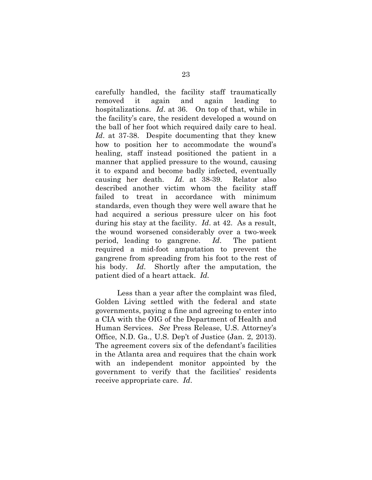carefully handled, the facility staff traumatically removed it again and again leading to hospitalizations. *Id*. at 36. On top of that, while in the facility's care, the resident developed a wound on the ball of her foot which required daily care to heal. *Id*. at 37-38. Despite documenting that they knew how to position her to accommodate the wound's healing, staff instead positioned the patient in a manner that applied pressure to the wound, causing it to expand and become badly infected, eventually causing her death. *Id*. at 38-39. Relator also described another victim whom the facility staff failed to treat in accordance with minimum standards, even though they were well aware that he had acquired a serious pressure ulcer on his foot during his stay at the facility. *Id*. at 42. As a result, the wound worsened considerably over a two-week period, leading to gangrene. *Id*. The patient required a mid-foot amputation to prevent the gangrene from spreading from his foot to the rest of his body. *Id*. Shortly after the amputation, the patient died of a heart attack. *Id.*

 Less than a year after the complaint was filed, Golden Living settled with the federal and state governments, paying a fine and agreeing to enter into a CIA with the OIG of the Department of Health and Human Services. *See* Press Release, U.S. Attorney's Office, N.D. Ga., U.S. Dep't of Justice (Jan. 2, 2013). The agreement covers six of the defendant's facilities in the Atlanta area and requires that the chain work with an independent monitor appointed by the government to verify that the facilities' residents receive appropriate care. *Id*.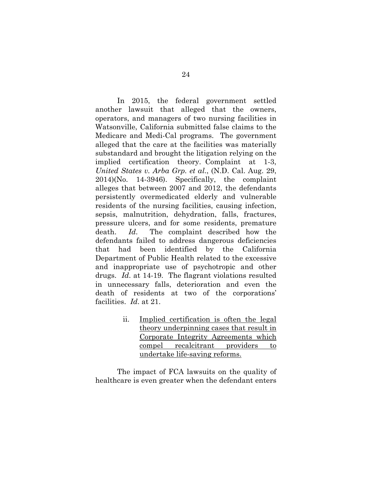In 2015, the federal government settled another lawsuit that alleged that the owners, operators, and managers of two nursing facilities in Watsonville, California submitted false claims to the Medicare and Medi-Cal programs. The government alleged that the care at the facilities was materially substandard and brought the litigation relying on the implied certification theory. Complaint at 1-3, *United States v. Arba Grp. et al*., (N.D. Cal. Aug. 29, 2014)(No. 14-3946). Specifically, the complaint alleges that between 2007 and 2012, the defendants persistently overmedicated elderly and vulnerable residents of the nursing facilities, causing infection, sepsis, malnutrition, dehydration, falls, fractures, pressure ulcers, and for some residents, premature death. *Id*. The complaint described how the defendants failed to address dangerous deficiencies that had been identified by the California Department of Public Health related to the excessive and inappropriate use of psychotropic and other drugs. *Id*. at 14-19. The flagrant violations resulted in unnecessary falls, deterioration and even the death of residents at two of the corporations' facilities. *Id*. at 21.

> ii. Implied certification is often the legal theory underpinning cases that result in Corporate Integrity Agreements which compel recalcitrant providers to undertake life-saving reforms.

 The impact of FCA lawsuits on the quality of healthcare is even greater when the defendant enters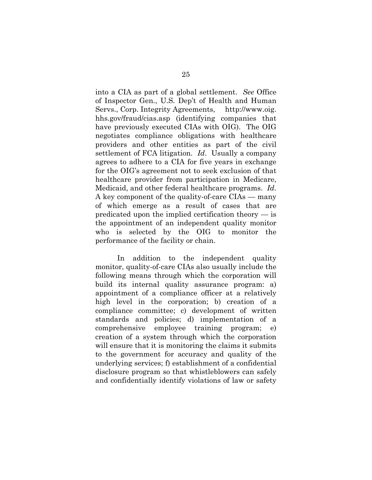into a CIA as part of a global settlement. *See* Office of Inspector Gen., U.S. Dep't of Health and Human Servs., Corp. Integrity Agreements, http://www.oig. hhs.gov/fraud/cias.asp (identifying companies that have previously executed CIAs with OIG). The OIG negotiates compliance obligations with healthcare providers and other entities as part of the civil settlement of FCA litigation. *Id*. Usually a company agrees to adhere to a CIA for five years in exchange for the OIG's agreement not to seek exclusion of that healthcare provider from participation in Medicare, Medicaid, and other federal healthcare programs. *Id*. A key component of the quality-of-care CIAs — many of which emerge as a result of cases that are predicated upon the implied certification theory — is the appointment of an independent quality monitor who is selected by the OIG to monitor the performance of the facility or chain.

 In addition to the independent quality monitor, quality-of-care CIAs also usually include the following means through which the corporation will build its internal quality assurance program: a) appointment of a compliance officer at a relatively high level in the corporation; b) creation of a compliance committee; c) development of written standards and policies; d) implementation of a comprehensive employee training program; e) creation of a system through which the corporation will ensure that it is monitoring the claims it submits to the government for accuracy and quality of the underlying services; f) establishment of a confidential disclosure program so that whistleblowers can safely and confidentially identify violations of law or safety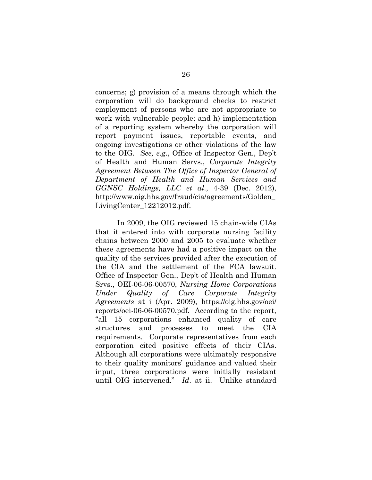concerns; g) provision of a means through which the corporation will do background checks to restrict employment of persons who are not appropriate to work with vulnerable people; and h) implementation of a reporting system whereby the corporation will report payment issues, reportable events, and ongoing investigations or other violations of the law to the OIG. *See, e.g*., Office of Inspector Gen., Dep't of Health and Human Servs., *Corporate Integrity Agreement Between The Office of Inspector General of Department of Health and Human Services and GGNSC Holdings, LLC et al*., 4-39 (Dec. 2012), http://www.oig.hhs.gov/fraud/cia/agreements/Golden\_ LivingCenter\_12212012.pdf.

 In 2009, the OIG reviewed 15 chain-wide CIAs that it entered into with corporate nursing facility chains between 2000 and 2005 to evaluate whether these agreements have had a positive impact on the quality of the services provided after the execution of the CIA and the settlement of the FCA lawsuit. Office of Inspector Gen., Dep't of Health and Human Srvs., OEI-06-06-00570, *Nursing Home Corporations Under Quality of Care Corporate Integrity Agreements* at i (Apr. 2009), https://oig.hhs.gov/oei/ reports/oei-06-06-00570.pdf. According to the report, "all 15 corporations enhanced quality of care structures and processes to meet the CIA requirements. Corporate representatives from each corporation cited positive effects of their CIAs. Although all corporations were ultimately responsive to their quality monitors' guidance and valued their input, three corporations were initially resistant until OIG intervened." *Id*. at ii. Unlike standard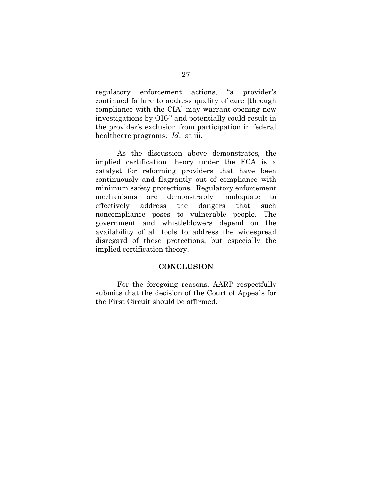regulatory enforcement actions, "a provider's continued failure to address quality of care [through compliance with the CIA] may warrant opening new investigations by OIG" and potentially could result in the provider's exclusion from participation in federal healthcare programs. *Id*. at iii.

 As the discussion above demonstrates, the implied certification theory under the FCA is a catalyst for reforming providers that have been continuously and flagrantly out of compliance with minimum safety protections. Regulatory enforcement mechanisms are demonstrably inadequate to effectively address the dangers that such noncompliance poses to vulnerable people. The government and whistleblowers depend on the availability of all tools to address the widespread disregard of these protections, but especially the implied certification theory.

#### **CONCLUSION**

 For the foregoing reasons, AARP respectfully submits that the decision of the Court of Appeals for the First Circuit should be affirmed.